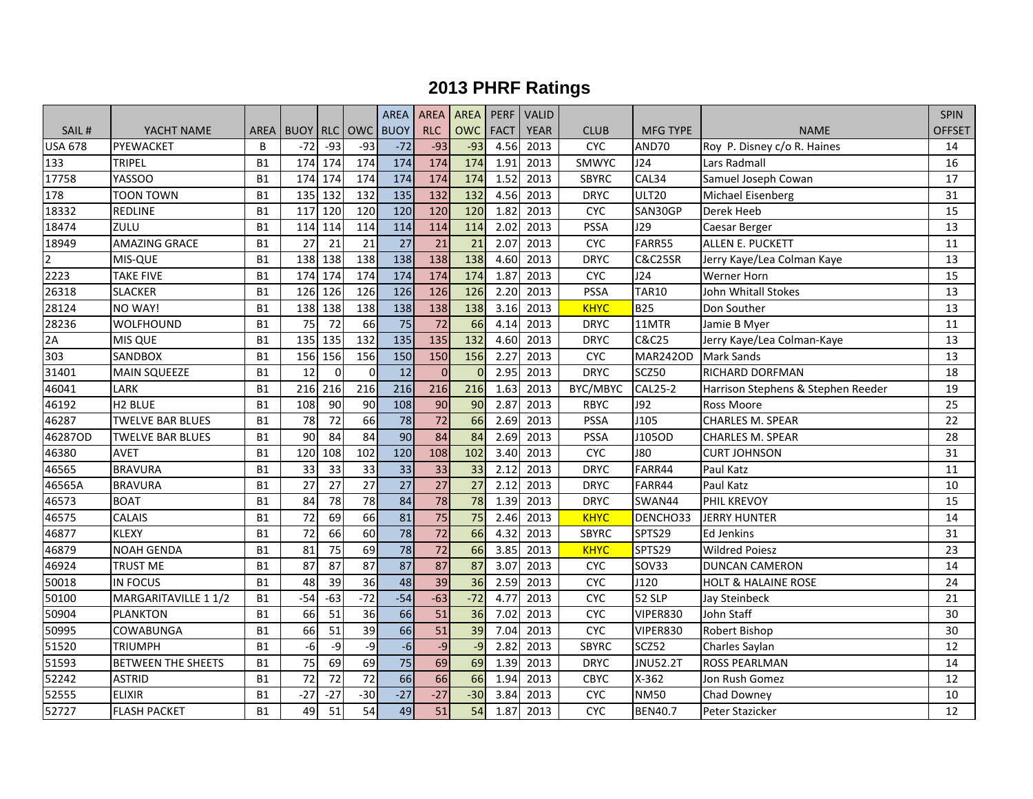|                |                           |           |                   |                 |                 | <b>AREA</b>     | <b>AREA</b> | AREA PERF       |             | VALID       |              |                    |                                    | <b>SPIN</b>       |
|----------------|---------------------------|-----------|-------------------|-----------------|-----------------|-----------------|-------------|-----------------|-------------|-------------|--------------|--------------------|------------------------------------|-------------------|
| SAIL#          | YACHT NAME                |           | AREA I BUOY I RLC |                 | OWC BUOY        |                 | <b>RLC</b>  | <b>OWC</b>      | <b>FACT</b> | <b>YEAR</b> | <b>CLUB</b>  | <b>MFG TYPE</b>    | <b>NAME</b>                        | OFFSET            |
| <b>USA 678</b> | PYEWACKET                 | B         | $-72$             | $-93$           | $-93$           | $-72$           | $-93$       | $-93$           | 4.56        | 2013        | <b>CYC</b>   | AND70              | Roy P. Disney c/o R. Haines        | 14                |
| 133            | TRIPEL                    | <b>B1</b> | 174               | 174             | 174             | 174             | 174         | 174             | 1.91        | 2013        | SMWYC        | J24                | Lars Radmall                       | 16                |
| 17758          | <b>YASSOO</b>             | <b>B1</b> | 174               | 174             | 174             | 174             | 174         | 174             | 1.52        | 2013        | <b>SBYRC</b> | CAL34              | Samuel Joseph Cowan                | 17                |
| 178            | <b>TOON TOWN</b>          | <b>B1</b> | 135               | 132             | 132             | 135             | 132         | 132             | 4.56        | 2013        | <b>DRYC</b>  | <b>ULT20</b>       | Michael Eisenberg                  | 31                |
| 18332          | <b>REDLINE</b>            | <b>B1</b> | 117               | 120             | 120             | 120             | 120         | 120             | 1.82        | 2013        | <b>CYC</b>   | SAN30GP            | Derek Heeb                         | 15                |
| 18474          | ZULU                      | <b>B1</b> | 114               | 114             | 114             | 114             | 114         | 114             | 2.02        | 2013        | PSSA         | J29                | Caesar Berger                      | 13                |
| 18949          | <b>AMAZING GRACE</b>      | <b>B1</b> | 27                | 21              | 21              | 27              | 21          | 21              | 2.07        | 2013        | <b>CYC</b>   | FARR55             | ALLEN E. PUCKETT                   | 11                |
| $\overline{2}$ | MIS-QUE                   | <b>B1</b> | 138               | 138             | 138             | 138             | 138         | 138             | 4.60        | 2013        | <b>DRYC</b>  | <b>C&amp;C25SR</b> | Jerry Kaye/Lea Colman Kaye         | 13                |
| 2223           | <b>TAKE FIVE</b>          | <b>B1</b> | 174               | 174             | 174             | 174             | 174         | 174             | 1.87        | 2013        | <b>CYC</b>   | J24                | Werner Horn                        | 15                |
| 26318          | <b>SLACKER</b>            | <b>B1</b> | 126               | 126             | 126             | 126             | 126         | 126             | 2.20        | 2013        | PSSA         | <b>TAR10</b>       | John Whitall Stokes                | 13                |
| 28124          | NO WAY!                   | <b>B1</b> | 138               | 138             | 138             | 138             | 138         | 138             | 3.16        | 2013        | <b>KHYC</b>  | <b>B25</b>         | Don Souther                        | 13                |
| 28236          | <b>WOLFHOUND</b>          | <b>B1</b> | 75                | 72              | 66              | 75              | 72          | 66              | 4.14        | 2013        | <b>DRYC</b>  | 11MTR              | Jamie B Myer                       | 11                |
| 2A             | <b>MIS QUE</b>            | <b>B1</b> | 135               | 135             | 132             | 135             | 135         | 132             | 4.60        | 2013        | <b>DRYC</b>  | <b>C&amp;C25</b>   | Jerry Kaye/Lea Colman-Kaye         | 13                |
| 303            | <b>SANDBOX</b>            | <b>B1</b> | 156               | 156             | 156             | 150             | 150         | 156             | 2.27        | 2013        | CYC          | <b>MAR242OD</b>    | <b>Mark Sands</b>                  | 13                |
| 31401          | <b>MAIN SQUEEZE</b>       | <b>B1</b> | 12                | $\mathbf 0$     | $\mathbf 0$     | 12              | $\mathbf 0$ | $\Omega$        | 2.95        | 2013        | <b>DRYC</b>  | SCZ50              | RICHARD DORFMAN                    | 18                |
| 46041          | LARK                      | <b>B1</b> | 216               | 216             | 216             | 216             | 216         | 216             | 1.63        | 2013        | BYC/MBYC     | <b>CAL25-2</b>     | Harrison Stephens & Stephen Reeder | 19                |
| 46192          | H <sub>2</sub> BLUE       | <b>B1</b> | 108               | 90              | 90              | 108             | 90          | 90              | 2.87        | 2013        | <b>RBYC</b>  | <b>J92</b>         | Ross Moore                         | 25                |
| 46287          | <b>TWELVE BAR BLUES</b>   | <b>B1</b> | 78                | 72              | 66              | 78              | 72          | 66              | 2.69        | 2013        | <b>PSSA</b>  | J105               | <b>CHARLES M. SPEAR</b>            | 22                |
| 46287OD        | <b>TWELVE BAR BLUES</b>   | <b>B1</b> | 90                | 84              | 84              | 90              | 84          | 84              | 2.69        | 2013        | <b>PSSA</b>  | J105OD             | <b>CHARLES M. SPEAR</b>            | 28                |
| 46380          | <b>AVET</b>               | <b>B1</b> | 120               | 108             | 102             | 120             | 108         | 102             | 3.40        | 2013        | <b>CYC</b>   | <b>J80</b>         | <b>CURT JOHNSON</b>                | 31                |
| 46565          | <b>BRAVURA</b>            | <b>B1</b> | 33                | 33              | 33              | 33              | 33          | 33              | 2.12        | 2013        | <b>DRYC</b>  | FARR44             | Paul Katz                          | 11                |
| 46565A         | <b>BRAVURA</b>            | <b>B1</b> | 27                | 27              | 27              | $\overline{27}$ | 27          | 27              | 2.12        | 2013        | <b>DRYC</b>  | FARR44             | Paul Katz                          | 10                |
| 46573          | <b>BOAT</b>               | <b>B1</b> | 84                | 78              | 78              | 84              | 78          | $\overline{78}$ | 1.39        | 2013        | <b>DRYC</b>  | SWAN44             | PHIL KREVOY                        | 15                |
| 46575          | <b>CALAIS</b>             | <b>B1</b> | 72                | 69              | 66              | 81              | 75          | 75              | 2.46        | 2013        | <b>KHYC</b>  | DENCHO33           | <b>JERRY HUNTER</b>                | 14                |
| 46877          | <b>KLEXY</b>              | <b>B1</b> | $\overline{72}$   | 66              | 60              | 78              | 72          | 66              | 4.32        | 2013        | <b>SBYRC</b> | SPTS29             | <b>Ed Jenkins</b>                  | 31                |
| 46879          | <b>NOAH GENDA</b>         | <b>B1</b> | 81                | 75              | 69              | $\overline{78}$ | 72          | 66              | 3.85        | 2013        | <b>KHYC</b>  | SPTS29             | <b>Wildred Poiesz</b>              | 23                |
| 46924          | TRUST ME                  | <b>B1</b> | 87                | 87              | 87              | 87              | 87          | 87              | 3.07        | 2013        | <b>CYC</b>   | <b>SOV33</b>       | <b>DUNCAN CAMERON</b>              | 14                |
| 50018          | <b>IN FOCUS</b>           | <b>B1</b> | 48                | 39              | 36              | 48              | 39          | 36              | 2.59        | 2013        | <b>CYC</b>   | J120               | <b>HOLT &amp; HALAINE ROSE</b>     | 24                |
| 50100          | MARGARITAVILLE 1 1/2      | <b>B1</b> | $-54$             | $-63$           | $-72$           | $-54$           | $-63$       | $-72$           | 4.77        | 2013        | <b>CYC</b>   | 52 SLP             | Jay Steinbeck                      | 21                |
| 50904          | <b>PLANKTON</b>           | <b>B1</b> | 66                | 51              | 36              | 66              | 51          | 36              | 7.02        | 2013        | <b>CYC</b>   | VIPER830           | John Staff                         | 30                |
| 50995          | COWABUNGA                 | <b>B1</b> | 66                | 51              | 39              | 66              | 51          | 39              | 7.04        | 2013        | <b>CYC</b>   | VIPER830           | Robert Bishop                      | 30                |
| 51520          | <b>TRIUMPH</b>            | <b>B1</b> | -6                | -9              | $-9$            | $-6$            | $-9$        | $-9$            | 2.82        | 2013        | <b>SBYRC</b> | SCZ52              | Charles Saylan                     | 12                |
| 51593          | <b>BETWEEN THE SHEETS</b> | <b>B1</b> | 75                | 69              | 69              | $\overline{75}$ | 69          | 69              | 1.39        | 2013        | <b>DRYC</b>  | <b>JNU52.2T</b>    | <b>ROSS PEARLMAN</b>               | 14                |
| 52242          | <b>ASTRID</b>             | <b>B1</b> | $\overline{72}$   | 72              | $\overline{72}$ | 66              | 66          | 66              | 1.94        | 2013        | CBYC         | $X-362$            | Jon Rush Gomez                     | 12                |
| 52555          | <b>ELIXIR</b>             | <b>B1</b> | $-27$             | $-27$           | $-30$           | $-27$           | $-27$       | $-30$           | 3.84        | 2013        | <b>CYC</b>   | <b>NM50</b>        | Chad Downey                        | 10                |
| 52727          | <b>FLASH PACKET</b>       | <b>B1</b> | 49                | $\overline{51}$ | 54              | 49              | 51          | 54              | 1.87        | 2013        | <b>CYC</b>   | <b>BEN40.7</b>     | Peter Stazicker                    | $12 \overline{ }$ |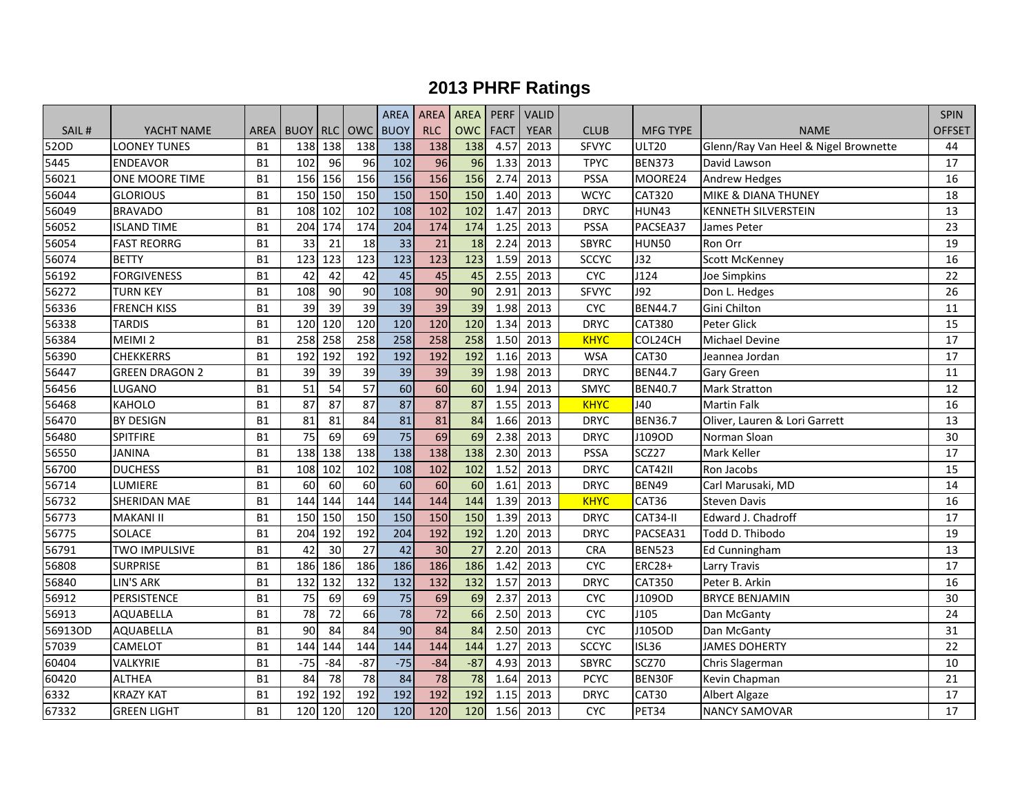|         |                       |             |                 |         |                 | <b>AREA</b>     | <b>AREA</b> | AREA PERF  |             | VALID       |              |                 |                                      | <b>SPIN</b> |
|---------|-----------------------|-------------|-----------------|---------|-----------------|-----------------|-------------|------------|-------------|-------------|--------------|-----------------|--------------------------------------|-------------|
| SAIL#   | YACHT NAME            | <b>AREA</b> | <b>BUOY RLC</b> |         |                 | OWC BUOY        | <b>RLC</b>  | <b>OWC</b> | <b>FACT</b> | <b>YEAR</b> | <b>CLUB</b>  | <b>MFG TYPE</b> | <b>NAME</b>                          | OFFSET      |
| 52OD    | <b>LOONEY TUNES</b>   | <b>B1</b>   | 138             | 138     | 138             | 138             | 138         | 138        | 4.57        | 2013        | <b>SFVYC</b> | <b>ULT20</b>    | Glenn/Ray Van Heel & Nigel Brownette | 44          |
| 5445    | <b>ENDEAVOR</b>       | <b>B1</b>   | 102             | 96      | 96              | 102             | 96          | 96         | 1.33        | 2013        | <b>TPYC</b>  | <b>BEN373</b>   | David Lawson                         | 17          |
| 56021   | ONE MOORE TIME        | <b>B1</b>   | 156             | 156     | 156             | 156             | 156         | 156        | 2.74        | 2013        | PSSA         | MOORE24         | <b>Andrew Hedges</b>                 | 16          |
| 56044   | <b>GLORIOUS</b>       | <b>B1</b>   | 150             | 150     | 150             | 150             | 150         | 150        | 1.40        | 2013        | <b>WCYC</b>  | CAT320          | MIKE & DIANA THUNEY                  | 18          |
| 56049   | <b>BRAVADO</b>        | <b>B1</b>   | 108             | 102     | 102             | 108             | 102         | 102        | 1.47        | 2013        | <b>DRYC</b>  | <b>HUN43</b>    | <b>KENNETH SILVERSTEIN</b>           | 13          |
| 56052   | <b>ISLAND TIME</b>    | <b>B1</b>   | 204             | 174     | 174             | 204             | 174         | 174        | 1.25        | 2013        | PSSA         | PACSEA37        | James Peter                          | 23          |
| 56054   | <b>FAST REORRG</b>    | <b>B1</b>   | 33              | 21      | 18              | 33              | 21          | 18         | 2.24        | 2013        | <b>SBYRC</b> | <b>HUN50</b>    | Ron Orr                              | 19          |
| 56074   | <b>BETTY</b>          | <b>B1</b>   | 123             | 123     | 123             | 123             | 123         | 123        | 1.59        | 2013        | <b>SCCYC</b> | J32             | <b>Scott McKenney</b>                | 16          |
| 56192   | <b>FORGIVENESS</b>    | <b>B1</b>   | 42              | 42      | 42              | 45              | 45          | 45         | 2.55        | 2013        | <b>CYC</b>   | J124            | Joe Simpkins                         | 22          |
| 56272   | <b>TURN KEY</b>       | <b>B1</b>   | 108             | 90      | 90              | 108             | 90          | 90         | 2.91        | 2013        | <b>SFVYC</b> | J92             | Don L. Hedges                        | 26          |
| 56336   | <b>FRENCH KISS</b>    | <b>B1</b>   | 39              | 39      | 39              | 39              | 39          | 39         | 1.98        | 2013        | <b>CYC</b>   | <b>BEN44.7</b>  | Gini Chilton                         | 11          |
| 56338   | <b>TARDIS</b>         | <b>B1</b>   | 120             | 120     | 120             | 120             | 120         | 120        | 1.34        | 2013        | <b>DRYC</b>  | <b>CAT380</b>   | Peter Glick                          | 15          |
| 56384   | MEIMI <sub>2</sub>    | <b>B1</b>   | 258             | 258     | 258             | 258             | 258         | 258        | 1.50        | 2013        | <b>KHYC</b>  | COL24CH         | Michael Devine                       | 17          |
| 56390   | <b>CHEKKERRS</b>      | <b>B1</b>   | 192             | 192     | 192             | 192             | 192         | 192        | 1.16        | 2013        | <b>WSA</b>   | CAT30           | Jeannea Jordan                       | 17          |
| 56447   | <b>GREEN DRAGON 2</b> | <b>B1</b>   | 39              | 39      | 39              | 39              | 39          | 39         | 1.98        | 2013        | <b>DRYC</b>  | <b>BEN44.7</b>  | <b>Gary Green</b>                    | 11          |
| 56456   | LUGANO                | <b>B1</b>   | 51              | 54      | 57              | $\overline{60}$ | 60          | 60         | 1.94        | 2013        | SMYC         | <b>BEN40.7</b>  | <b>Mark Stratton</b>                 | 12          |
| 56468   | <b>KAHOLO</b>         | <b>B1</b>   | 87              | 87      | 87              | 87              | 87          | 87         | 1.55        | 2013        | <b>KHYC</b>  | J40             | <b>Martin Falk</b>                   | 16          |
| 56470   | <b>BY DESIGN</b>      | <b>B1</b>   | 81              | 81      | 84              | 81              | 81          | 84         | 1.66        | 2013        | <b>DRYC</b>  | <b>BEN36.7</b>  | Oliver, Lauren & Lori Garrett        | 13          |
| 56480   | <b>SPITFIRE</b>       | <b>B1</b>   | $\overline{75}$ | 69      | 69              | $\overline{75}$ | 69          | 69         | 2.38        | 2013        | <b>DRYC</b>  | J109OD          | Norman Sloan                         | 30          |
| 56550   | <b>JANINA</b>         | <b>B1</b>   | 138             | 138     | 138             | 138             | 138         | 138        | 2.30        | 2013        | PSSA         | SCZ27           | Mark Keller                          | 17          |
| 56700   | <b>DUCHESS</b>        | <b>B1</b>   | 108             | 102     | 102             | 108             | 102         | 102        | 1.52        | 2013        | <b>DRYC</b>  | CAT42II         | Ron Jacobs                           | 15          |
| 56714   | LUMIERE               | <b>B1</b>   | 60              | 60      | 60              | $\overline{60}$ | 60          | 60         | 1.61        | 2013        | <b>DRYC</b>  | <b>BEN49</b>    | Carl Marusaki, MD                    | 14          |
| 56732   | <b>SHERIDAN MAE</b>   | <b>B1</b>   | 144             | 144     | 144             | 144             | 144         | 144        | 1.39        | 2013        | <b>KHYC</b>  | CAT36           | <b>Steven Davis</b>                  | 16          |
| 56773   | <b>MAKANI II</b>      | <b>B1</b>   | 150             | 150     | 150             | 150             | 150         | 150        | 1.39        | 2013        | <b>DRYC</b>  | CAT34-II        | Edward J. Chadroff                   | 17          |
| 56775   | <b>SOLACE</b>         | <b>B1</b>   | 204             | 192     | 192             | 204             | 192         | 192        | 1.20        | 2013        | <b>DRYC</b>  | PACSEA31        | Todd D. Thibodo                      | 19          |
| 56791   | <b>TWO IMPULSIVE</b>  | <b>B1</b>   | 42              | 30      | 27              | 42              | 30          | 27         | 2.20        | 2013        | <b>CRA</b>   | <b>BEN523</b>   | <b>Ed Cunningham</b>                 | 13          |
| 56808   | <b>SURPRISE</b>       | <b>B1</b>   | 186             | 186     | 186             | 186             | 186         | 186        | 1.42        | 2013        | <b>CYC</b>   | <b>ERC28+</b>   | <b>Larry Travis</b>                  | 17          |
| 56840   | <b>LIN'S ARK</b>      | <b>B1</b>   | 132             | 132     | 132             | 132             | 132         | 132        | 1.57        | 2013        | <b>DRYC</b>  | CAT350          | Peter B. Arkin                       | 16          |
| 56912   | PERSISTENCE           | <b>B1</b>   | 75              | 69      | 69              | 75              | 69          | 69         | 2.37        | 2013        | <b>CYC</b>   | J109OD          | <b>BRYCE BENJAMIN</b>                | 30          |
| 56913   | AQUABELLA             | <b>B1</b>   | $\overline{78}$ | 72      | 66              | $\overline{78}$ | 72          | 66         | 2.50        | 2013        | <b>CYC</b>   | J105            | Dan McGanty                          | 24          |
| 56913OD | AQUABELLA             | <b>B1</b>   | 90              | 84      | 84              | 90              | 84          | 84         | 2.50        | 2013        | <b>CYC</b>   | J105OD          | Dan McGanty                          | 31          |
| 57039   | CAMELOT               | <b>B1</b>   | 144             | 144     | 144             | 144             | 144         | 144        | 1.27        | 2013        | <b>SCCYC</b> | <b>ISL36</b>    | <b>JAMES DOHERTY</b>                 | 22          |
| 60404   | VALKYRIE              | <b>B1</b>   | $-75$           | $-84$   | $-87$           | $-75$           | $-84$       | $-87$      | 4.93        | 2013        | <b>SBYRC</b> | SCZ70           | Chris Slagerman                      | 10          |
| 60420   | <b>ALTHEA</b>         | <b>B1</b>   | 84              | 78      | $\overline{78}$ | 84              | 78          | 78         | 1.64        | 2013        | <b>PCYC</b>  | BEN30F          | Kevin Chapman                        | 21          |
| 6332    | <b>KRAZY KAT</b>      | <b>B1</b>   | 192             | 192     | 192             | 192             | 192         | 192        | 1.15        | 2013        | <b>DRYC</b>  | CAT30           | Albert Algaze                        | 17          |
| 67332   | <b>GREEN LIGHT</b>    | <b>B1</b>   |                 | 120 120 | 120             | 120             | 120         | 120        | 1.56        | 2013        | <b>CYC</b>   | PET34           | <b>NANCY SAMOVAR</b>                 | 17          |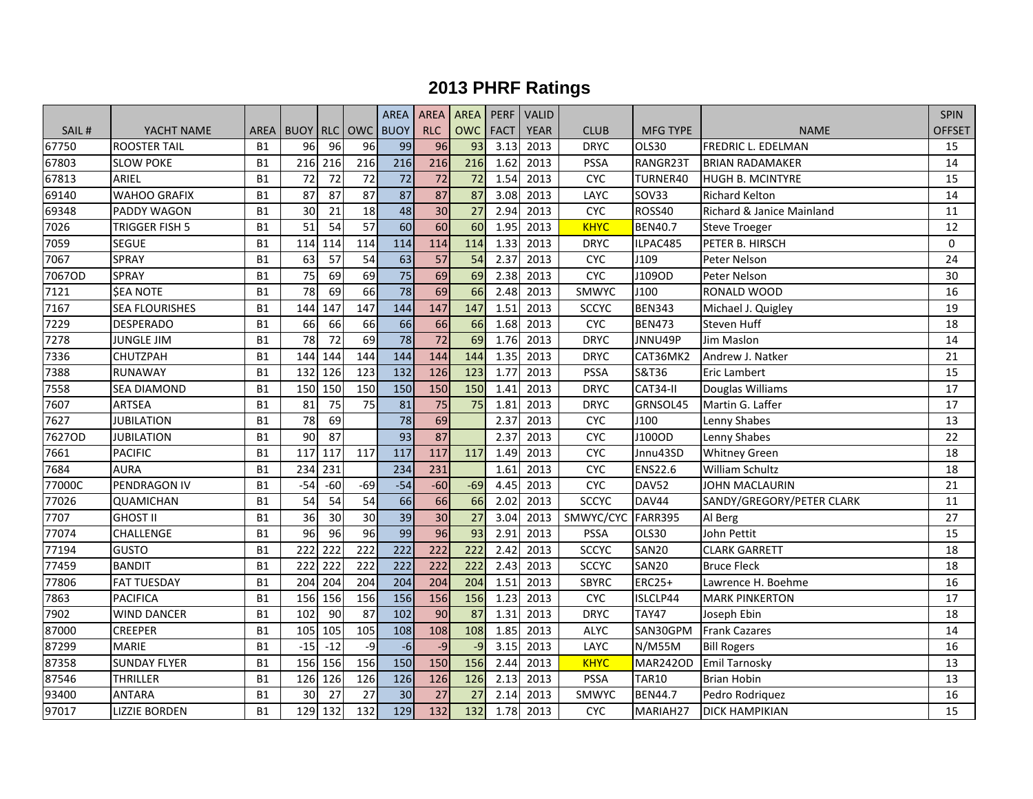|        |                       |           |                   |       |          | <b>AREA</b>      | <b>AREA</b>     | AREA PERF       |             | VALID       |                   |                 |                                      | <b>SPIN</b> |
|--------|-----------------------|-----------|-------------------|-------|----------|------------------|-----------------|-----------------|-------------|-------------|-------------------|-----------------|--------------------------------------|-------------|
| SAIL#  | YACHT NAME            |           | AREA I BUOY I RLC |       | OWC BUOY |                  | <b>RLC</b>      | <b>OWC</b>      | <b>FACT</b> | <b>YEAR</b> | <b>CLUB</b>       | <b>MFG TYPE</b> | <b>NAME</b>                          | OFFSET      |
| 67750  | <b>ROOSTER TAIL</b>   | <b>B1</b> | 96                | 96    | 96       | 99               | 96              | 93              | 3.13        | 2013        | <b>DRYC</b>       | OLS30           | <b>FREDRIC L. EDELMAN</b>            | 15          |
| 67803  | <b>SLOW POKE</b>      | <b>B1</b> | 216               | 216   | 216      | 216              | 216             | 216             | 1.62        | 2013        | <b>PSSA</b>       | RANGR23T        | <b>BRIAN RADAMAKER</b>               | 14          |
| 67813  | ARIEL                 | <b>B1</b> | 72                | 72    | 72       | 72               | 72              | 72              | 1.54        | 2013        | <b>CYC</b>        | TURNER40        | <b>HUGH B. MCINTYRE</b>              | 15          |
| 69140  | <b>WAHOO GRAFIX</b>   | <b>B1</b> | 87                | 87    | 87       | $\overline{87}$  | 87              | 87              | 3.08        | 2013        | LAYC              | SOV33           | <b>Richard Kelton</b>                | 14          |
| 69348  | PADDY WAGON           | <b>B1</b> | 30                | 21    | 18       | 48               | 30              | 27              | 2.94        | 2013        | <b>CYC</b>        | ROSS40          | <b>Richard &amp; Janice Mainland</b> | 11          |
| 7026   | TRIGGER FISH 5        | <b>B1</b> | 51                | 54    | 57       | $\overline{60}$  | 60              | 60              | 1.95        | 2013        | <b>KHYC</b>       | <b>BEN40.7</b>  | <b>Steve Troeger</b>                 | 12          |
| 7059   | <b>SEGUE</b>          | <b>B1</b> | 114               | 114   | 114      | 114              | 114             | 114             | 1.33        | 2013        | <b>DRYC</b>       | ILPAC485        | PETER B. HIRSCH                      | 0           |
| 7067   | <b>SPRAY</b>          | <b>B1</b> | 63                | 57    | 54       | 63               | $\overline{57}$ | 54              | 2.37        | 2013        | <b>CYC</b>        | J109            | Peter Nelson                         | 24          |
| 7067OD | <b>SPRAY</b>          | <b>B1</b> | 75                | 69    | 69       | $\overline{75}$  | 69              | 69              | 2.38        | 2013        | <b>CYC</b>        | J109OD          | Peter Nelson                         | 30          |
| 7121   | <b>\$EA NOTE</b>      | <b>B1</b> | 78                | 69    | 66       | 78               | 69              | 66              | 2.48        | 2013        | SMWYC             | J100            | RONALD WOOD                          | 16          |
| 7167   | <b>SEA FLOURISHES</b> | <b>B1</b> | 144               | 147   | 147      | 144              | 147             | 147             | 1.51        | 2013        | <b>SCCYC</b>      | <b>BEN343</b>   | Michael J. Quigley                   | 19          |
| 7229   | <b>DESPERADO</b>      | <b>B1</b> | 66                | 66    | 66       | 66               | 66              | 66              | 1.68        | 2013        | <b>CYC</b>        | <b>BEN473</b>   | Steven Huff                          | 18          |
| 7278   | <b>JUNGLE JIM</b>     | <b>B1</b> | 78                | 72    | 69       | $\overline{78}$  | $\overline{72}$ | 69              | 1.76        | 2013        | <b>DRYC</b>       | JNNU49P         | Jim Maslon                           | 14          |
| 7336   | CHUTZPAH              | <b>B1</b> | 144               | 144   | 144      | 144              | 144             | 144             | 1.35        | 2013        | <b>DRYC</b>       | CAT36MK2        | Andrew J. Natker                     | 21          |
| 7388   | <b>RUNAWAY</b>        | <b>B1</b> | 132               | 126   | 123      | 132              | 126             | 123             | 1.77        | 2013        | <b>PSSA</b>       | S&T36           | <b>Eric Lambert</b>                  | 15          |
| 7558   | SEA DIAMOND           | <b>B1</b> | 150               | 150   | 150      | 150              | 150             | 150             | 1.41        | 2013        | <b>DRYC</b>       | CAT34-II        | Douglas Williams                     | 17          |
| 7607   | <b>ARTSEA</b>         | <b>B1</b> | 81                | 75    | 75       | 81               | 75              | 75              | 1.81        | 2013        | <b>DRYC</b>       | GRNSOL45        | Martin G. Laffer                     | 17          |
| 7627   | <b>JUBILATION</b>     | <b>B1</b> | 78                | 69    |          | 78               | 69              |                 | 2.37        | 2013        | <b>CYC</b>        | J100            | Lenny Shabes                         | 13          |
| 7627OD | <b>JUBILATION</b>     | <b>B1</b> | 90                | 87    |          | 93               | 87              |                 | 2.37        | 2013        | <b>CYC</b>        | J100OD          | Lenny Shabes                         | 22          |
| 7661   | <b>PACIFIC</b>        | <b>B1</b> | 117               | 117   | 117      | 117              | 117             | 117             | 1.49        | 2013        | <b>CYC</b>        | Jnnu43SD        | <b>Whitney Green</b>                 | 18          |
| 7684   | <b>AURA</b>           | <b>B1</b> | 234               | 231   |          | 234              | 231             |                 | 1.61        | 2013        | <b>CYC</b>        | <b>ENS22.6</b>  | <b>William Schultz</b>               | 18          |
| 77000C | PENDRAGON IV          | <b>B1</b> | $-54$             | $-60$ | $-69$    | $-54$            | $-60$           | $-69$           | 4.45        | 2013        | <b>CYC</b>        | DAV52           | <b>JOHN MACLAURIN</b>                | 21          |
| 77026  | <b>QUAMICHAN</b>      | <b>B1</b> | 54                | 54    | 54       | 66               | 66              | 66              | 2.02        | 2013        | <b>SCCYC</b>      | DAV44           | SANDY/GREGORY/PETER CLARK            | 11          |
| 7707   | <b>GHOST II</b>       | <b>B1</b> | 36                | 30    | 30       | 39               | 30              | 27              | 3.04        | 2013        | SMWYC/CYC FARR395 |                 | Al Berg                              | 27          |
| 77074  | CHALLENGE             | <b>B1</b> | 96                | 96    | 96       | 99               | $\overline{96}$ | $\overline{93}$ | 2.91        | 2013        | PSSA              | OLS30           | John Pettit                          | 15          |
| 77194  | <b>GUSTO</b>          | <b>B1</b> | 222               | 222   | 222      | $\overline{222}$ | 222             | 222             | 2.42        | 2013        | <b>SCCYC</b>      | <b>SAN20</b>    | <b>CLARK GARRETT</b>                 | 18          |
| 77459  | <b>BANDIT</b>         | <b>B1</b> | 222               | 222   | 222      | 222              | 222             | 222             | 2.43        | 2013        | <b>SCCYC</b>      | <b>SAN20</b>    | <b>Bruce Fleck</b>                   | 18          |
| 77806  | <b>FAT TUESDAY</b>    | <b>B1</b> | 204               | 204   | 204      | 204              | 204             | 204             | 1.51        | 2013        | <b>SBYRC</b>      | <b>ERC25+</b>   | Lawrence H. Boehme                   | 16          |
| 7863   | <b>PACIFICA</b>       | <b>B1</b> | 156               | 156   | 156      | 156              | 156             | 156             | 1.23        | 2013        | <b>CYC</b>        | ISLCLP44        | <b>MARK PINKERTON</b>                | 17          |
| 7902   | <b>WIND DANCER</b>    | <b>B1</b> | 102               | 90    | 87       | 102              | 90              | 87              | 1.31        | 2013        | <b>DRYC</b>       | <b>TAY47</b>    | Joseph Ebin                          | 18          |
| 87000  | <b>CREEPER</b>        | <b>B1</b> | 105               | 105   | 105      | 108              | 108             | 108             | 1.85        | 2013        | <b>ALYC</b>       | SAN30GPM        | <b>Frank Cazares</b>                 | 14          |
| 87299  | <b>MARIE</b>          | <b>B1</b> | $-15$             | $-12$ | -9       | $-6$             | $-9$            | $-9$            | 3.15        | 2013        | LAYC              | <b>N/M55M</b>   | <b>Bill Rogers</b>                   | 16          |
| 87358  | <b>SUNDAY FLYER</b>   | <b>B1</b> | 156               | 156   | 156      | 150              | 150             | 156             | 2.44        | 2013        | <b>KHYC</b>       | MAR242OD        | <b>Emil Tarnosky</b>                 | 13          |
| 87546  | <b>THRILLER</b>       | <b>B1</b> | 126               | 126   | 126      | 126              | 126             | 126             | 2.13        | 2013        | <b>PSSA</b>       | <b>TAR10</b>    | <b>Brian Hobin</b>                   | 13          |
| 93400  | <b>ANTARA</b>         | <b>B1</b> | 30                | 27    | 27       | 30               | 27              | 27              | 2.14        | 2013        | SMWYC             | <b>BEN44.7</b>  | Pedro Rodriquez                      | 16          |
| 97017  | <b>LIZZIE BORDEN</b>  | <b>B1</b> | 129               | 132   | 132      | 129              | 132             | 132             | 1.78        | 2013        | <b>CYC</b>        | MARIAH27        | <b>DICK HAMPIKIAN</b>                | 15          |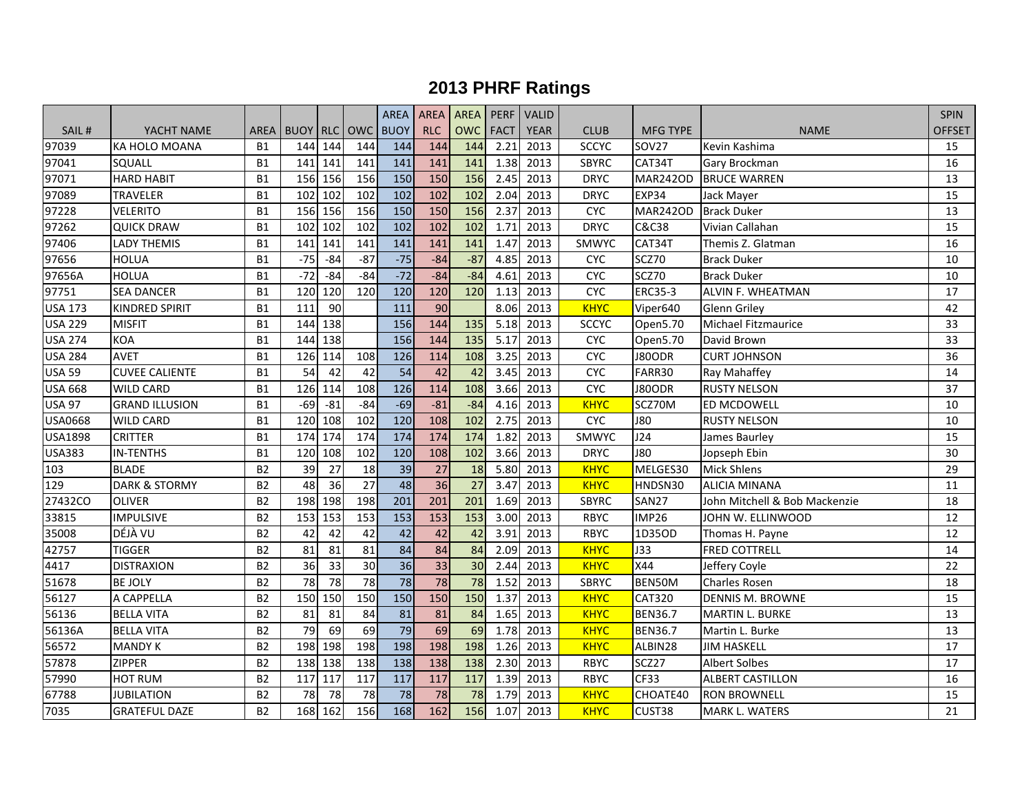|                  |                          |                |                 |         |       | <b>AREA</b>     | <b>AREA</b> | AREA PERF  |             | <b>VALID</b> |              |                 |                               | <b>SPIN</b>     |
|------------------|--------------------------|----------------|-----------------|---------|-------|-----------------|-------------|------------|-------------|--------------|--------------|-----------------|-------------------------------|-----------------|
| SAIL#            | YACHT NAME               |                | AREA BUOY RLC   |         |       | OWC BUOY        | <b>RLC</b>  | <b>OWC</b> | <b>FACT</b> | <b>YEAR</b>  | <b>CLUB</b>  | <b>MFG TYPE</b> | <b>NAME</b>                   | OFFSET          |
| 97039            | KA HOLO MOANA            | <b>B1</b>      | 144             | 144     | 144   | 144             | 144         | 144        | 2.21        | 2013         | <b>SCCYC</b> | SOV27           | Kevin Kashima                 | 15              |
| 97041            | SQUALL                   | <b>B1</b>      | 141             | 141     | 141   | 141             | 141         | 141        | 1.38        | 2013         | <b>SBYRC</b> | CAT34T          | Gary Brockman                 | 16              |
| 97071            | <b>HARD HABIT</b>        | <b>B1</b>      | 156             | 156     | 156   | 150             | 150         | 156        | 2.45        | 2013         | <b>DRYC</b>  | <b>MAR242OD</b> | <b>BRUCE WARREN</b>           | 13              |
| 97089            | <b>TRAVELER</b>          | <b>B1</b>      | 102             | 102     | 102   | 102             | 102         | 102        | 2.04        | 2013         | <b>DRYC</b>  | EXP34           | Jack Mayer                    | 15              |
| 97228            | <b>VELERITO</b>          | <b>B1</b>      | 156             | 156     | 156   | 150             | 150         | 156        | 2.37        | 2013         | CYC          | <b>MAR242OD</b> | <b>Brack Duker</b>            | 13              |
| 97262            | <b>QUICK DRAW</b>        | <b>B1</b>      | 102             | 102     | 102   | 102             | 102         | 102        | 1.71        | 2013         | <b>DRYC</b>  | C&C38           | Vivian Callahan               | $\overline{15}$ |
| 97406            | <b>LADY THEMIS</b>       | <b>B1</b>      | 141             | 141     | 141   | 141             | 141         | 141        | 1.47        | 2013         | SMWYC        | CAT34T          | Themis Z. Glatman             | 16              |
| 97656            | HOLUA                    | <b>B1</b>      | $-75$           | $-84$   | $-87$ | $-75$           | $-84$       | $-87$      | 4.85        | 2013         | <b>CYC</b>   | SCZ70           | <b>Brack Duker</b>            | 10              |
| 97656A           | <b>HOLUA</b>             | <b>B1</b>      | $-72$           | $-84$   | $-84$ | $-72$           | $-84$       | $-84$      | 4.61        | 2013         | <b>CYC</b>   | SCZ70           | <b>Brack Duker</b>            | 10              |
| 97751            | <b>SEA DANCER</b>        | <b>B1</b>      | 120             | 120     | 120   | 120             | 120         | 120        | 1.13        | 2013         | <b>CYC</b>   | <b>ERC35-3</b>  | <b>ALVIN F. WHEATMAN</b>      | 17              |
| <b>USA 173</b>   | <b>KINDRED SPIRIT</b>    | <b>B1</b>      | 111             | 90      |       | 111             | 90          |            | 8.06        | 2013         | <b>KHYC</b>  | Viper640        | <b>Glenn Griley</b>           | 42              |
| <b>USA 229</b>   | <b>MISFIT</b>            | <b>B1</b>      | 144             | 138     |       | 156             | 144         | 135        | 5.18        | 2013         | <b>SCCYC</b> | Open5.70        | Michael Fitzmaurice           | 33              |
| <b>USA 274</b>   | <b>KOA</b>               | <b>B1</b>      | 144             | 138     |       | 156             | 144         | 135        | 5.17        | 2013         | <b>CYC</b>   | Open5.70        | David Brown                   | 33              |
| <b>USA 284</b>   | <b>AVET</b>              | <b>B1</b>      | 126             | 114     | 108   | 126             | 114         | 108        | 3.25        | 2013         | CYC          | J80ODR          | <b>CURT JOHNSON</b>           | 36              |
| <b>USA 59</b>    | <b>CUVEE CALIENTE</b>    | <b>B1</b>      | 54              | 42      | 42    | 54              | 42          | 42         | 3.45        | 2013         | CYC          | FARR30          | Ray Mahaffey                  | 14              |
| <b>USA 668</b>   | <b>WILD CARD</b>         | <b>B1</b>      | 126             | 114     | 108   | 126             | 114         | 108        | 3.66        | 2013         | <b>CYC</b>   | J80ODR          | <b>RUSTY NELSON</b>           | 37              |
| <b>USA 97</b>    | <b>GRAND ILLUSION</b>    | <b>B1</b>      | $-69$           | $-81$   | $-84$ | $-69$           | $-81$       | $-84$      | 4.16        | 2013         | <b>KHYC</b>  | SCZ70M          | ED MCDOWELL                   | 10              |
| <b>USA0668</b>   | <b>WILD CARD</b>         | <b>B1</b>      | 120             | 108     | 102   | 120             | 108         | 102        | 2.75        | 2013         | <b>CYC</b>   | <b>J80</b>      | <b>RUSTY NELSON</b>           | 10              |
| <b>USA1898</b>   | <b>CRITTER</b>           | <b>B1</b>      | 174             | 174     | 174   | 174             | 174         | 174        | 1.82        | 2013         | SMWYC        | J24             | James Baurley                 | 15              |
| <b>USA383</b>    | <b>IN-TENTHS</b>         | <b>B1</b>      | 120             | 108     | 102   | 120             | 108         | 102        | 3.66        | 2013         | <b>DRYC</b>  | <b>J80</b>      | Jopseph Ebin                  | 30              |
| $\overline{1}03$ | <b>BLADE</b>             | <b>B2</b>      | 39              | 27      | 18    | 39              | 27          | 18         | 5.80        | 2013         | <b>KHYC</b>  | MELGES30        | <b>Mick Shlens</b>            | 29              |
| $\overline{1}29$ | <b>DARK &amp; STORMY</b> | <b>B2</b>      | 48              | 36      | 27    | $\overline{48}$ | 36          | 27         | 3.47        | 2013         | <b>KHYC</b>  | HNDSN30         | <b>ALICIA MINANA</b>          | 11              |
| 27432CO          | <b>OLIVER</b>            | <b>B2</b>      | 198             | 198     | 198   | 201             | 201         | 201        | 1.69        | 2013         | <b>SBYRC</b> | <b>SAN27</b>    | John Mitchell & Bob Mackenzie | 18              |
| 33815            | <b>IMPULSIVE</b>         | B <sub>2</sub> | 153             | 153     | 153   | 153             | 153         | 153        | 3.00        | 2013         | RBYC         | <b>IMP26</b>    | JOHN W. ELLINWOOD             | 12              |
| 35008            | DÉJÀ VU                  | B <sub>2</sub> | 42              | 42      | 42    | 42              | 42          | 42         | 3.91        | 2013         | <b>RBYC</b>  | 1D35OD          | Thomas H. Payne               | 12              |
| 42757            | <b>TIGGER</b>            | <b>B2</b>      | 81              | 81      | 81    | $\overline{84}$ | 84          | 84         | 2.09        | 2013         | <b>KHYC</b>  | <b>J33</b>      | <b>FRED COTTRELL</b>          | 14              |
| 4417             | <b>DISTRAXION</b>        | <b>B2</b>      | 36              | 33      | 30    | $\overline{36}$ | 33          | 30         | 2.44        | 2013         | <b>KHYC</b>  | X44             | Jeffery Coyle                 | 22              |
| 51678            | <b>BE JOLY</b>           | <b>B2</b>      | 78              | 78      | 78    | 78              | 78          | 78         | 1.52        | 2013         | <b>SBRYC</b> | BEN50M          | <b>Charles Rosen</b>          | 18              |
| 56127            | A CAPPELLA               | <b>B2</b>      | 150             | 150     | 150   | 150             | 150         | 150        | 1.37        | 2013         | <b>KHYC</b>  | CAT320          | <b>DENNIS M. BROWNE</b>       | 15              |
| 56136            | <b>BELLA VITA</b>        | <b>B2</b>      | 81              | 81      | 84    | 81              | 81          | 84         | 1.65        | 2013         | <b>KHYC</b>  | <b>BEN36.7</b>  | <b>MARTIN L. BURKE</b>        | 13              |
| 56136A           | <b>BELLA VITA</b>        | <b>B2</b>      | $\overline{79}$ | 69      | 69    | 79              | 69          | 69         | 1.78        | 2013         | <b>KHYC</b>  | <b>BEN36.7</b>  | Martin L. Burke               | 13              |
| 56572            | <b>MANDY K</b>           | <b>B2</b>      | 198             | 198     | 198   | 198             | 198         | 198        | 1.26        | 2013         | <b>KHYC</b>  | ALBIN28         | <b>JIM HASKELL</b>            | 17              |
| 57878            | ZIPPER                   | <b>B2</b>      | 138             | 138     | 138   | 138             | 138         | 138        | 2.30        | 2013         | <b>RBYC</b>  | SCZ27           | <b>Albert Solbes</b>          | 17              |
| 57990            | <b>HOT RUM</b>           | <b>B2</b>      | 117             | 117     | 117   | 117             | 117         | 117        | 1.39        | 2013         | <b>RBYC</b>  | CF33            | <b>ALBERT CASTILLON</b>       | 16              |
| 67788            | JUBILATION               | <b>B2</b>      | 78              | 78      | 78    | 78              | 78          | 78         | 1.79        | 2013         | <b>KHYC</b>  | CHOATE40        | <b>RON BROWNELL</b>           | 15              |
| 7035             | <b>GRATEFUL DAZE</b>     | <b>B2</b>      |                 | 168 162 | 156   | 168             | 162         | 156        | 1.07        | 2013         | <b>KHYC</b>  | CUST38          | <b>MARK L. WATERS</b>         | 21              |